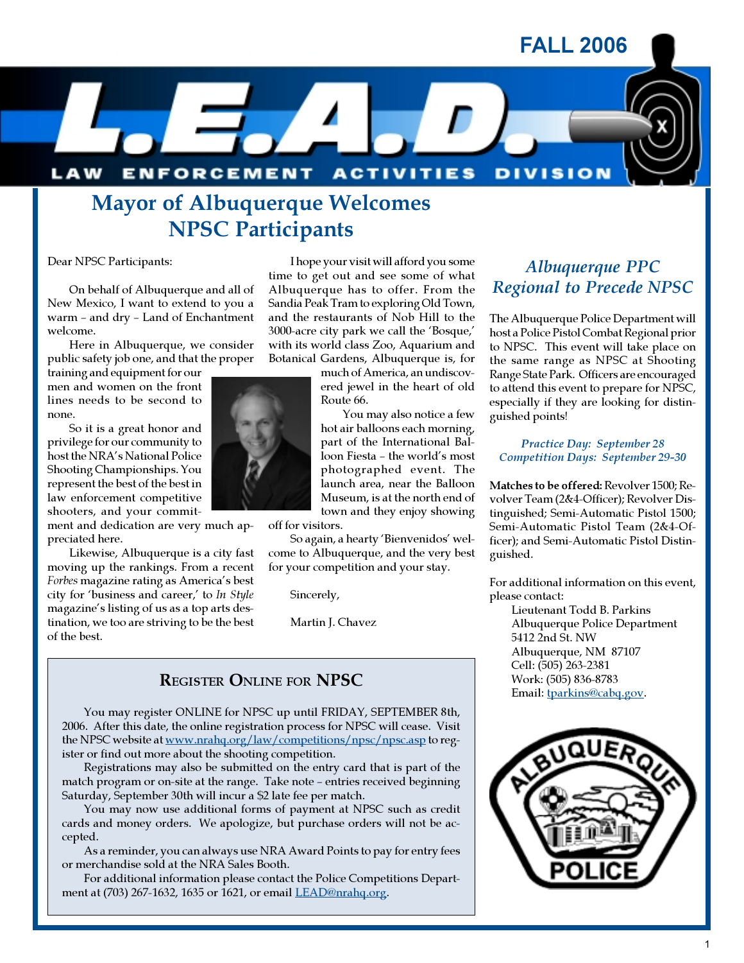FALL 2006



I hope your visit will afford you some time to get out and see some of what Albuquerque has to offer. From the Sandia Peak Tram to exploring Old Town, and the restaurants of Nob Hill to the 3000-acre city park we call the 'Bosque,' with its world class Zoo, Aquarium and Botanical Gardens, Albuquerque is, for

much of America, an undiscov-

You may also notice a few

## Mayor of Albuquerque Welcomes NPSC Participants

Dear NPSC Participants:

On behalf of Albuquerque and all of New Mexico, I want to extend to you a warm – and dry – Land of Enchantment welcome.

Here in Albuquerque, we consider public safety job one, and that the proper

training and equipment for our men and women on the front lines needs to be second to none.

So it is a great honor and privilege for our community to host the NRA's National Police Shooting Championships. You represent the best of the best in law enforcement competitive shooters, and your commit-

ment and dedication are very much appreciated here.

Likewise, Albuquerque is a city fast moving up the rankings. From a recent Forbes magazine rating as America's best city for 'business and career,' to In Style magazine's listing of us as a top arts destination, we too are striving to be the best of the best.



photographed event. The launch area, near the Balloon

town and they enjoy showing off for visitors.

So again, a hearty 'Bienvenidos' welcome to Albuquerque, and the very best for your competition and your stay.

Sincerely,

Martin J. Chavez

#### REGISTER ONLINE FOR NPSC

You may register ONLINE for NPSC up until FRIDAY, SEPTEMBER 8th, 2006. After this date, the online registration process for NPSC will cease. Visit the NPSC website at www.nrahq.org/law/competitions/npsc/npsc.asp to register or find out more about the shooting competition.

Registrations may also be submitted on the entry card that is part of the match program or on-site at the range. Take note – entries received beginning Saturday, September 30th will incur a \$2 late fee per match.

You may now use additional forms of payment at NPSC such as credit cards and money orders. We apologize, but purchase orders will not be accepted.

As a reminder, you can always use NRA Award Points to pay for entry fees or merchandise sold at the NRA Sales Booth.

For additional information please contact the Police Competitions Department at (703) 267-1632, 1635 or 1621, or email LEAD@nrahq.org.

### Albuquerque PPC Regional to Precede NPSC

The Albuquerque Police Department will host a Police Pistol Combat Regional prior to NPSC. This event will take place on the same range as NPSC at Shooting Range State Park. Officers are encouraged to attend this event to prepare for NPSC, especially if they are looking for distinguished points!

Practice Day: September 28 Competition Days: September 29-30

Matches to be offered: Revolver 1500; Revolver Team (2&4-Officer); Revolver Distinguished; Semi-Automatic Pistol 1500; Semi-Automatic Pistol Team (2&4-Officer); and Semi-Automatic Pistol Distinguished.

For additional information on this event, please contact:

Lieutenant Todd B. Parkins Albuquerque Police Department 5412 2nd St. NW Albuquerque, NM 87107 Cell: (505) 263-2381 Work: (505) 836-8783 Email: tparkins@cabq.gov.

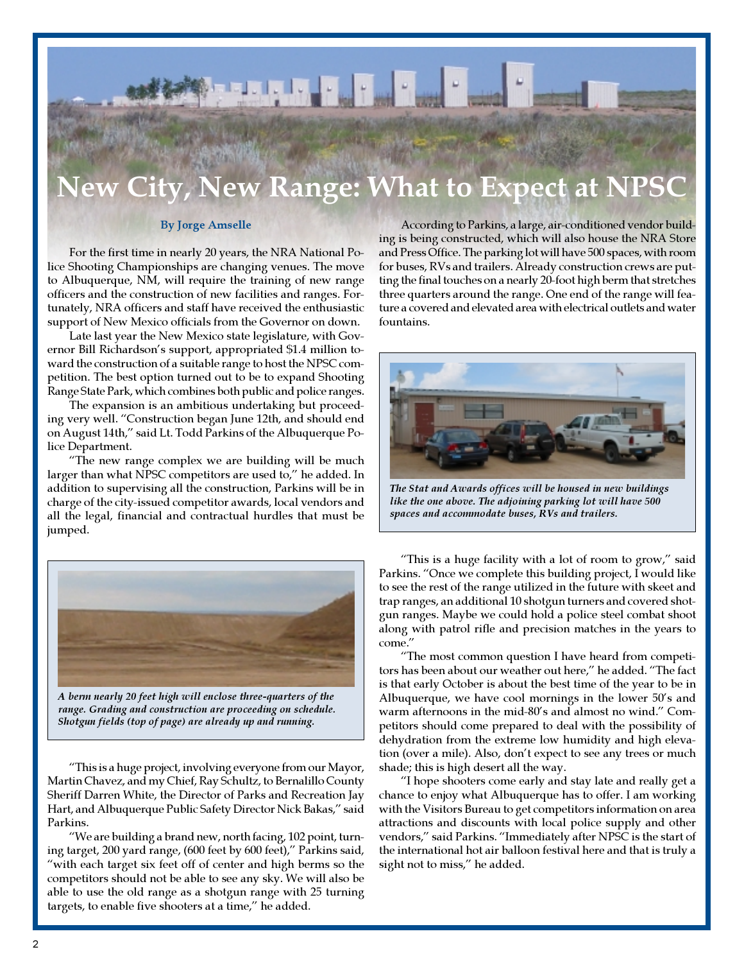# ew Range: What to Expect at NPSC

#### By Jorge Amselle

For the first time in nearly 20 years, the NRA National Police Shooting Championships are changing venues. The move to Albuquerque, NM, will require the training of new range officers and the construction of new facilities and ranges. Fortunately, NRA officers and staff have received the enthusiastic support of New Mexico officials from the Governor on down.

Late last year the New Mexico state legislature, with Governor Bill Richardson's support, appropriated \$1.4 million toward the construction of a suitable range to host the NPSC competition. The best option turned out to be to expand Shooting Range State Park, which combines both public and police ranges.

The expansion is an ambitious undertaking but proceeding very well. "Construction began June 12th, and should end on August 14th," said Lt. Todd Parkins of the Albuquerque Police Department.

"The new range complex we are building will be much larger than what NPSC competitors are used to," he added. In addition to supervising all the construction, Parkins will be in charge of the city-issued competitor awards, local vendors and all the legal, financial and contractual hurdles that must be jumped.



A berm nearly 20 feet high will enclose three-quarters of the range. Grading and construction are proceeding on schedule. Shotgun fields (top of page) are already up and running.

"This is a huge project, involving everyone from our Mayor, Martin Chavez, and my Chief, Ray Schultz, to Bernalillo County Sheriff Darren White, the Director of Parks and Recreation Jay Hart, and Albuquerque Public Safety Director Nick Bakas," said Parkins.

"We are building a brand new, north facing, 102 point, turning target, 200 yard range, (600 feet by 600 feet)," Parkins said, "with each target six feet off of center and high berms so the competitors should not be able to see any sky. We will also be able to use the old range as a shotgun range with 25 turning targets, to enable five shooters at a time," he added.

According to Parkins, a large, air-conditioned vendor building is being constructed, which will also house the NRA Store and Press Office. The parking lot will have 500 spaces, with room for buses, RVs and trailers. Already construction crews are putting the final touches on a nearly 20-foot high berm that stretches three quarters around the range. One end of the range will feature a covered and elevated area with electrical outlets and water fountains.



The Stat and Awards offices will be housed in new buildings like the one above. The adjoining parking lot will have 500 spaces and accommodate buses, RVs and trailers.

"This is a huge facility with a lot of room to grow," said Parkins. "Once we complete this building project, I would like to see the rest of the range utilized in the future with skeet and trap ranges, an additional 10 shotgun turners and covered shotgun ranges. Maybe we could hold a police steel combat shoot along with patrol rifle and precision matches in the years to come."

"The most common question I have heard from competitors has been about our weather out here," he added. "The fact is that early October is about the best time of the year to be in Albuquerque, we have cool mornings in the lower 50's and warm afternoons in the mid-80's and almost no wind." Competitors should come prepared to deal with the possibility of dehydration from the extreme low humidity and high elevation (over a mile). Also, don't expect to see any trees or much shade; this is high desert all the way.

"I hope shooters come early and stay late and really get a chance to enjoy what Albuquerque has to offer. I am working with the Visitors Bureau to get competitors information on area attractions and discounts with local police supply and other vendors," said Parkins. "Immediately after NPSC is the start of the international hot air balloon festival here and that is truly a sight not to miss," he added.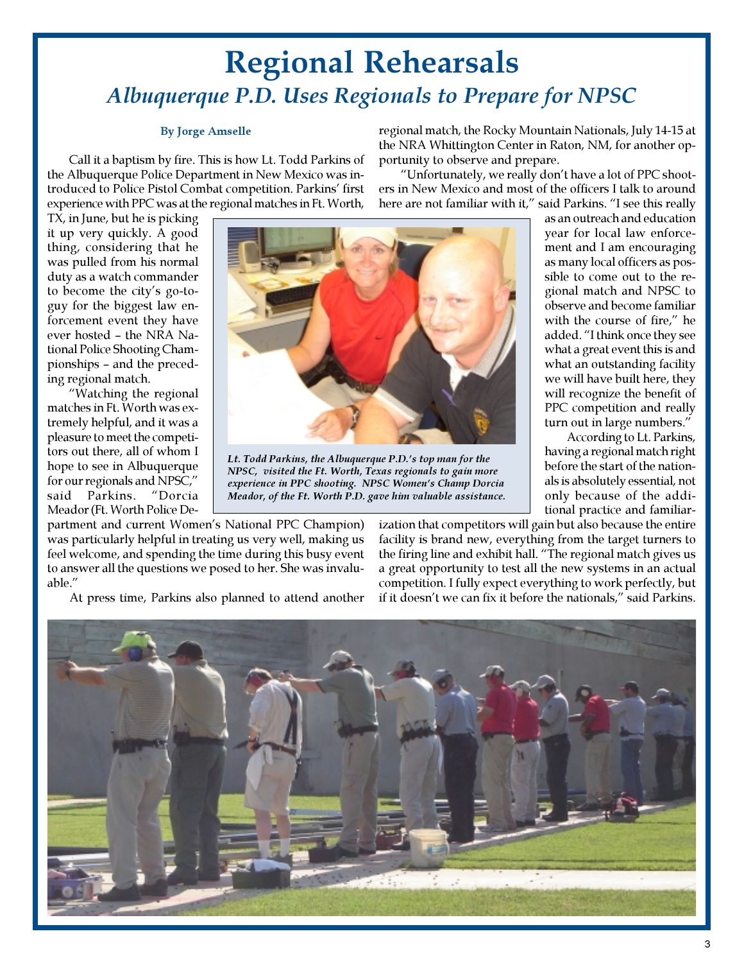## Regional Rehearsals Albuquerque P.D. Uses Regionals to Prepare for NPSC

#### By Jorge Amselle

Call it a baptism by fire. This is how Lt. Todd Parkins of the Albuquerque Police Department in New Mexico was introduced to Police Pistol Combat competition. Parkins' first experience with PPC was at the regional matches in Ft. Worth,

TX, in June, but he is picking it up very quickly. A good thing, considering that he was pulled from his normal duty as a watch commander to become the city's go-toguy for the biggest law enforcement event they have ever hosted – the NRA National Police Shooting Championships – and the preceding regional match.

"Watching the regional matches in Ft. Worth was extremely helpful, and it was a pleasure to meet the competitors out there, all of whom I hope to see in Albuquerque for our regionals and NPSC," said Parkins. "Dorcia Meador (Ft. Worth Police De-



Lt. Todd Parkins, the Albuquerque P.D.'s top man for the NPSC, visited the Ft. Worth, Texas regionals to gain more experience in PPC shooting. NPSC Women's Champ Dorcia Meador, of the Ft. Worth P.D. gave him valuable assistance.

regional match, the Rocky Mountain Nationals, July 14-15 at the NRA Whittington Center in Raton, NM, for another opportunity to observe and prepare.

"Unfortunately, we really don't have a lot of PPC shooters in New Mexico and most of the officers I talk to around here are not familiar with it," said Parkins. "I see this really

as an outreach and education year for local law enforcement and I am encouraging as many local officers as possible to come out to the regional match and NPSC to observe and become familiar with the course of fire," he added. "I think once they see what a great event this is and what an outstanding facility we will have built here, they will recognize the benefit of PPC competition and really turn out in large numbers."

According to Lt. Parkins, having a regional match right before the start of the nationals is absolutely essential, not only because of the additional practice and familiar-

partment and current Women's National PPC Champion) was particularly helpful in treating us very well, making us feel welcome, and spending the time during this busy event to answer all the questions we posed to her. She was invaluable."

At press time, Parkins also planned to attend another

ization that competitors will gain but also because the entire facility is brand new, everything from the target turners to the firing line and exhibit hall. "The regional match gives us a great opportunity to test all the new systems in an actual competition. I fully expect everything to work perfectly, but if it doesn't we can fix it before the nationals," said Parkins.

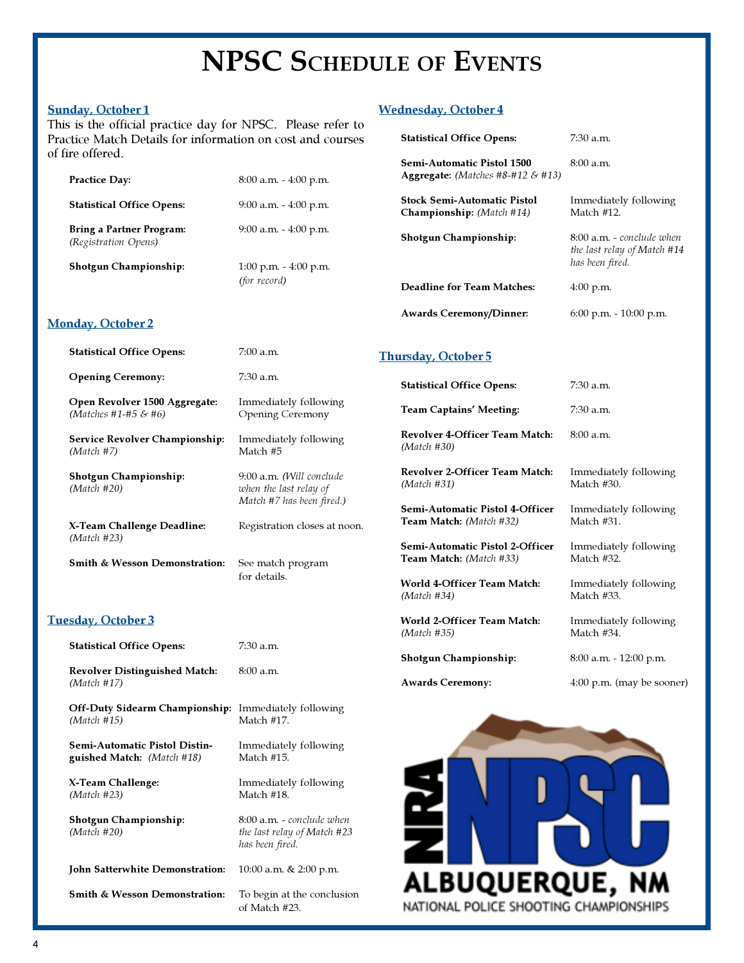## NPSC SCHEDULE OF EVENTS

#### Sunday, October 1

Monday, October 2

This is the official practice day for NPSC. Please refer to Practice Match Details for information on cost and courses of fire offered.

| <b>Practice Day:</b>                                    | $8:00$ a.m. $-4:00$ p.m.                 |
|---------------------------------------------------------|------------------------------------------|
| <b>Statistical Office Opens:</b>                        | $9:00$ a.m. $-4:00$ p.m.                 |
| <b>Bring a Partner Program:</b><br>(Registration Opens) | $9:00$ a.m. $-4:00$ p.m.                 |
| <b>Shotgun Championship:</b>                            | $1:00$ p.m. $-4:00$ p.m.<br>(for record) |

#### Wednesday, October 4

| <b>Statistical Office Opens:</b>                                       | $7:30$ a.m.                                                                 |
|------------------------------------------------------------------------|-----------------------------------------------------------------------------|
| Semi-Automatic Pistol 1500<br><b>Aggregate:</b> (Matches #8-#12 & #13) | 8:00a.m.                                                                    |
| <b>Stock Semi-Automatic Pistol</b><br><b>Championship:</b> (Match #14) | Immediately following<br>Match #12.                                         |
| <b>Shotgun Championship:</b>                                           | 8:00 a.m. - conclude when<br>the last relay of Match #14<br>has been fired. |
| Deadline for Team Matches:                                             | $4:00$ p.m.                                                                 |
| <b>Awards Ceremony/Dinner:</b>                                         | $6:00$ p.m. $-10:00$ p.m.                                                   |
|                                                                        |                                                                             |

| <b>Statistical Office Opens:</b>                      | $7:00$ a.m.                                                                     | <b>Thursd</b>      |
|-------------------------------------------------------|---------------------------------------------------------------------------------|--------------------|
| <b>Opening Ceremony:</b>                              | 7:30 a.m.                                                                       | <b>Stat</b>        |
| Open Revolver 1500 Aggregate:<br>(Matches #1-#5 & #6) | Immediately following<br><b>Opening Ceremony</b>                                | Tear               |
| <b>Service Revolver Championship:</b><br>(Match #7)   | Immediately following<br>Match #5                                               | Rev<br>(Ma         |
| <b>Shotgun Championship:</b><br>(Match #20)           | 9:00 a.m. (Will conclude<br>when the last relay of<br>Match #7 has been fired.) | Rev<br>(Ma<br>Sem  |
| X-Team Challenge Deadline:<br>(Match #23)             | Registration closes at noon.                                                    | Teal<br>Sem        |
| <b>Smith &amp; Wesson Demonstration:</b>              | See match program<br>for details.                                               | Teal<br><b>WAT</b> |

#### Tuesday, October 3

| <b>Statistical Office Opens:</b>                                           | 7:30 a.m.                                                                   |
|----------------------------------------------------------------------------|-----------------------------------------------------------------------------|
| <b>Revolver Distinguished Match:</b><br>(Match #17)                        | 8:00a.m.                                                                    |
| <b>Off-Duty Sidearm Championship:</b> Immediately following<br>(Match #15) | Match #17.                                                                  |
| <b>Semi-Automatic Pistol Distin-</b><br><b>guished Match:</b> (Match #18)  | Immediately following<br>Match #15.                                         |
| X-Team Challenge:<br>(Match #23)                                           | Immediately following<br>Match #18.                                         |
| <b>Shotgun Championship:</b><br>(Match #20)                                | 8:00 a.m. - conclude when<br>the last relay of Match #23<br>has been fired. |
| <b>John Satterwhite Demonstration:</b>                                     | 10:00 a.m. & 2:00 p.m.                                                      |
| <b>Smith &amp; Wesson Demonstration:</b>                                   | To begin at the conclusion<br>of Match #23.                                 |

#### sday, October 5

| <b>Statistical Office Opens:</b>                                  | 7:30 a.m.                           |
|-------------------------------------------------------------------|-------------------------------------|
| Team Captains' Meeting:                                           | 7:30 a.m.                           |
| Revolver 4-Officer Team Match:<br>(Match #30)                     | 8:00a.m.                            |
| Revolver 2-Officer Team Match:<br>(Match #31)                     | Immediately following<br>Match #30. |
| Semi-Automatic Pistol 4-Officer<br>Team Match: (Match #32)        | Immediately following<br>Match #31. |
| Semi-Automatic Pistol 2-Officer<br><b>Team Match:</b> (Match #33) | Immediately following<br>Match #32. |
| World 4-Officer Team Match:<br>(Match #34)                        | Immediately following<br>Match #33. |
| World 2-Officer Team Match:<br>(Match #35)                        | Immediately following<br>Match #34. |
| Shotgun Championship:                                             | 8:00 a.m. - 12:00 p.m.              |
| Awards Ceremony:                                                  | $4:00$ p.m. (may be sooner)         |
|                                                                   |                                     |

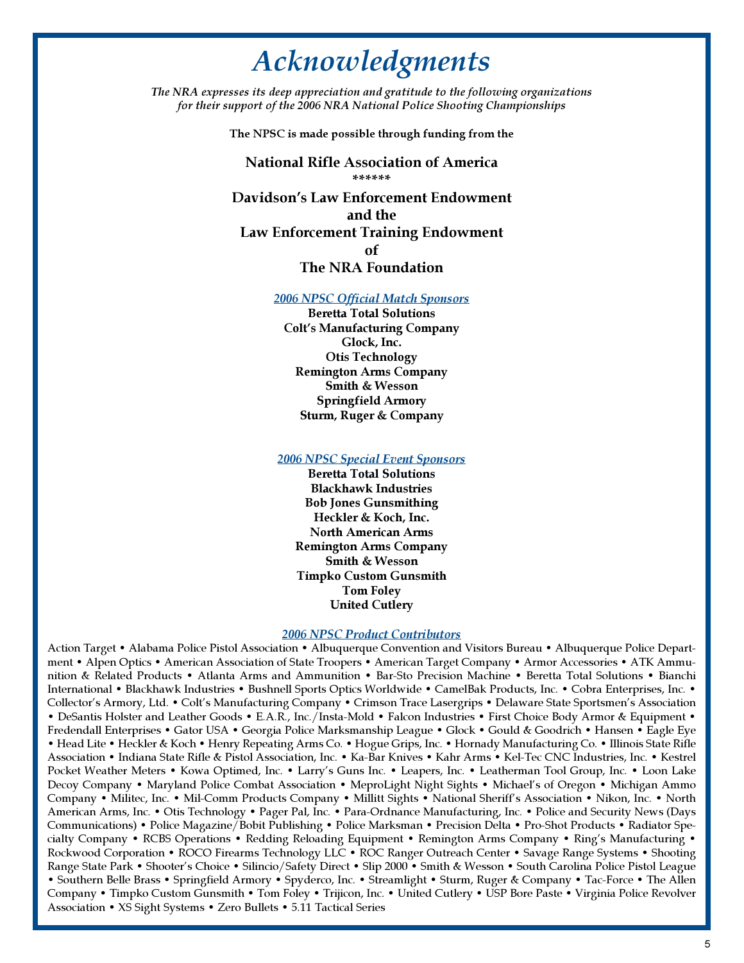## Acknowledgments

The NRA expresses its deep appreciation and gratitude to the following organizations for their support of the 2006 NRA National Police Shooting Championships

The NPSC is made possible through funding from the

National Rifle Association of America \*\*\*\*\*\*

Davidson's Law Enforcement Endowment and the Law Enforcement Training Endowment of

#### The NRA Foundation

#### 2006 NPSC Official Match Sponsors

Beretta Total Solutions Colt's Manufacturing Company Glock, Inc. Otis Technology Remington Arms Company Smith & Wesson Springfield Armory Sturm, Ruger & Company

#### 2006 NPSC Special Event Sponsors

Beretta Total Solutions Blackhawk Industries Bob Jones Gunsmithing Heckler & Koch, Inc. North American Arms Remington Arms Company Smith & Wesson Timpko Custom Gunsmith Tom Foley United Cutlery

#### 2006 NPSC Product Contributors

Action Target • Alabama Police Pistol Association • Albuquerque Convention and Visitors Bureau • Albuquerque Police Department • Alpen Optics • American Association of State Troopers • American Target Company • Armor Accessories • ATK Ammunition & Related Products • Atlanta Arms and Ammunition • Bar-Sto Precision Machine • Beretta Total Solutions • Bianchi International • Blackhawk Industries • Bushnell Sports Optics Worldwide • CamelBak Products, Inc. • Cobra Enterprises, Inc. • Collector's Armory, Ltd. • Colt's Manufacturing Company • Crimson Trace Lasergrips • Delaware State Sportsmen's Association • DeSantis Holster and Leather Goods • E.A.R., Inc./Insta-Mold • Falcon Industries • First Choice Body Armor & Equipment • Fredendall Enterprises • Gator USA • Georgia Police Marksmanship League • Glock • Gould & Goodrich • Hansen • Eagle Eye • Head Lite • Heckler & Koch • Henry Repeating Arms Co. • Hogue Grips, Inc. • Hornady Manufacturing Co. • Illinois State Rifle Association • Indiana State Rifle & Pistol Association, Inc. • Ka-Bar Knives • Kahr Arms • Kel-Tec CNC Industries, Inc. • Kestrel Pocket Weather Meters • Kowa Optimed, Inc. • Larry's Guns Inc. • Leapers, Inc. • Leatherman Tool Group, Inc. • Loon Lake Decoy Company • Maryland Police Combat Association • MeproLight Night Sights • Michael's of Oregon • Michigan Ammo Company • Militec, Inc. • Mil-Comm Products Company • Millitt Sights • National Sheriff's Association • Nikon, Inc. • North American Arms, Inc. • Otis Technology • Pager Pal, Inc. • Para-Ordnance Manufacturing, Inc. • Police and Security News (Days Communications) • Police Magazine/Bobit Publishing • Police Marksman • Precision Delta • Pro-Shot Products • Radiator Specialty Company • RCBS Operations • Redding Reloading Equipment • Remington Arms Company • Ring's Manufacturing • Rockwood Corporation • ROCO Firearms Technology LLC • ROC Ranger Outreach Center • Savage Range Systems • Shooting Range State Park • Shooter's Choice • Silincio/Safety Direct • Slip 2000 • Smith & Wesson • South Carolina Police Pistol League • Southern Belle Brass • Springfield Armory • Spyderco, Inc. • Streamlight • Sturm, Ruger & Company • Tac-Force • The Allen Company • Timpko Custom Gunsmith • Tom Foley • Trijicon, Inc. • United Cutlery • USP Bore Paste • Virginia Police Revolver Association • XS Sight Systems • Zero Bullets • 5.11 Tactical Series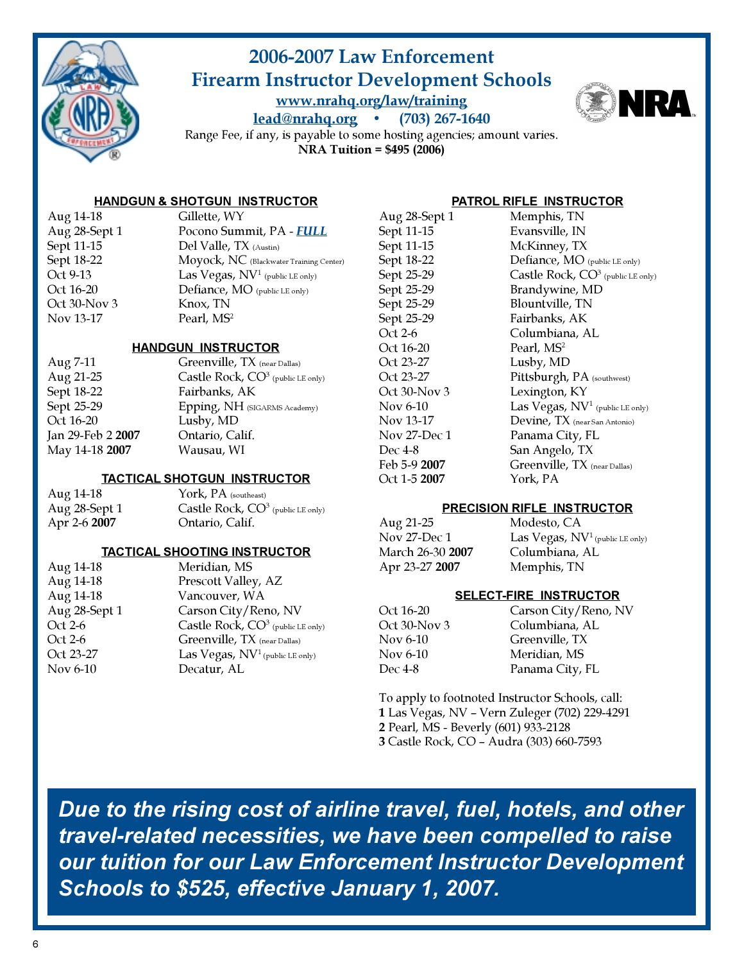

### 2006-2007 Law Enforcement Firearm Instructor Development Schools www.nrahq.org/law/training lead@nrahq.org • (703) 267-1640



Range Fee, if any, is payable to some hosting agencies; amount varies. NRA Tuition = \$495 (2006)

#### HANDGUN & SHOTGUN INSTRUCTOR

| Aug 14-18     | Gillette, WY                                |
|---------------|---------------------------------------------|
| Aug 28-Sept 1 | Pocono Summit, PA - FULL                    |
| Sept 11-15    | Del Valle, TX (Austin)                      |
| Sept 18-22    | Moyock, NC (Blackwater Training Center)     |
| Oct 9-13      | Las Vegas, NV <sup>1</sup> (public LE only) |
| Oct 16-20     | Defiance, MO (public LE only)               |
| Oct 30-Nov 3  | Knox, TN                                    |
| Nov 13-17     | Pearl, MS <sup>2</sup>                      |
|               |                                             |

#### HANDGUN INSTRUCTOR

| Aug 7-11                 | Greenville, $TX$ (near Dallas)       |
|--------------------------|--------------------------------------|
| Aug 21-25                | Castle Rock, $CO^3$ (public LE only) |
| Sept 18-22               | Fairbanks, AK                        |
| Sept 25-29               | Epping, NH (SIGARMS Academy)         |
| Oct 16-20                | Lusby, MD                            |
| Jan 29-Feb 2 <b>2007</b> | Ontario, Calif.                      |
| May 14-18 2007           | Wausau, WI                           |
|                          |                                      |

#### TACTICAL SHOTGUN INSTRUCTOR

| Aug 14-18           | York, PA (southeast)                |
|---------------------|-------------------------------------|
| Aug 28-Sept 1       | Castle Rock, $CO3$ (public LE only) |
| Apr 2-6 <b>2007</b> | Ontario, Calif.                     |

#### TACTICAL SHOOTING INSTRUCTOR

| Aug 14-18     | Meridian, MS                         |
|---------------|--------------------------------------|
| Aug 14-18     | Prescott Valley, AZ                  |
| Aug 14-18     | Vancouver, WA                        |
| Aug 28-Sept 1 | Carson City/Reno, NV                 |
| Oct 2-6       | Castle Rock, $CO^3$ (public LE only) |
| Oct 2-6       | Greenville, TX (near Dallas)         |
| Oct 23-27     | Las Vegas, $NV1$ (public LE only)    |
| Nov 6-10      | Decatur, AL                          |
|               |                                      |

#### PATROL RIFLE INSTRUCTOR

Aug 28-Sept 1 Memphis, TN Sept 11-15 Evansville, IN Sept 11-15 McKinney, TX Sept 25-29 Brandywine, MD Sept 25-29 Blountville, TN Sept 25-29 Fairbanks, AK Oct 2-6 Columbiana, AL Oct 16-20 Pearl, MS<sup>2</sup> Oct 23-27 Lusby, MD Oct 30-Nov 3 Lexington, KY Nov 27-Dec 1 Panama City, FL Dec 4-8 San Angelo, TX Oct 1-5 2007 York, PA

Sept 18-22 Defiance, MO (public LE only) Sept 25-29 Castle Rock,  $CO<sup>3</sup>$  (public LE only) Oct 23-27 Pittsburgh, PA (southwest) Nov 6-10 Las Vegas,  $NV^1$  (public LE only) Nov 13-17 Devine, TX (near San Antonio) Feb 5-9 2007 Greenville, TX (near Dallas)

#### PRECISION RIFLE INSTRUCTOR

Aug 21-25 Modesto, CA<br>Nov 27-Dec 1 Las Vegas, N March 26-30 2007 Columbiana, AL Apr 23-27 2007 Memphis, TN

Las Vegas,  $NV<sup>1</sup>$  (public LE only)

#### SELECT-FIRE INSTRUCTOR

| Oct 16-20    |  |
|--------------|--|
| Oct 30-Nov 3 |  |
| Nov 6-10     |  |
| Nov 6-10     |  |
| Dec 4-8      |  |

Carson City/Reno, NV Columbiana, AL Greenville, TX Meridian, MS Panama City, FL

To apply to footnoted Instructor Schools, call: Las Vegas, NV – Vern Zuleger (702) 229-4291 Pearl, MS - Beverly (601) 933-2128 Castle Rock, CO – Audra (303) 660-7593

Due to the rising cost of airline travel, fuel, hotels, and other travel-related necessities, we have been compelled to raise our tuition for our Law Enforcement Instructor Development Schools to \$525, effective January 1, 2007.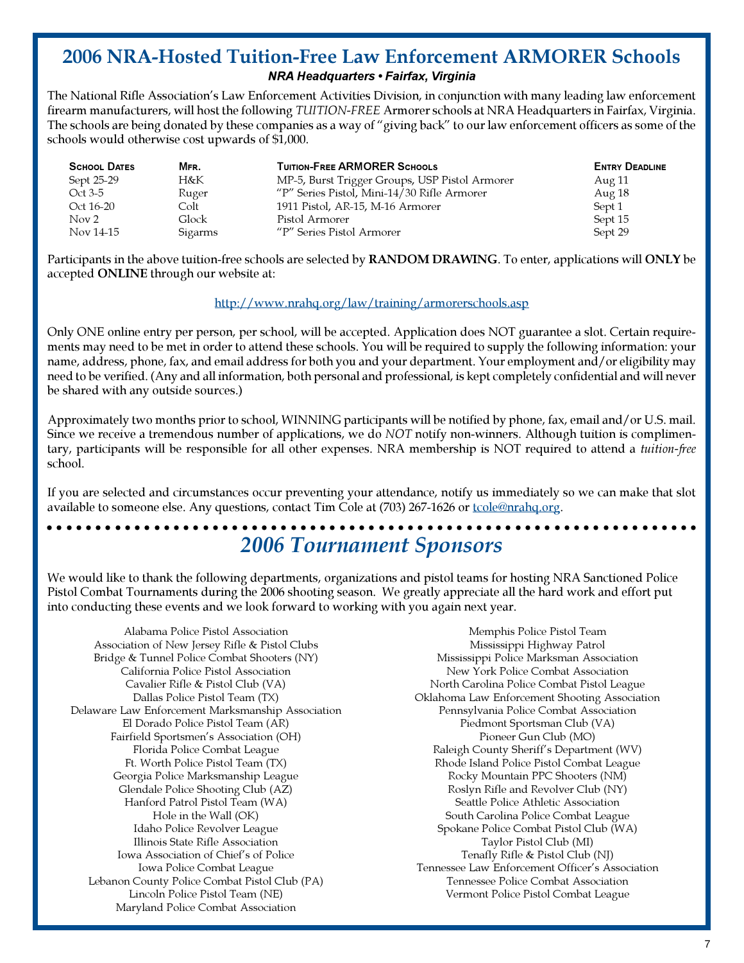### 2006 NRA-Hosted Tuition-Free Law Enforcement ARMORER Schools NRA Headquarters • Fairfax, Virginia

The National Rifle Association's Law Enforcement Activities Division, in conjunction with many leading law enforcement firearm manufacturers, will host the following TUITION-FREE Armorer schools at NRA Headquarters in Fairfax, Virginia. The schools are being donated by these companies as a way of "giving back" to our law enforcement officers as some of the schools would otherwise cost upwards of \$1,000.

| <b>SCHOOL DATES</b> | MFR.    | <b>TUITION-FREE ARMORER SCHOOLS</b>            | <b>ENTRY DEADLINE</b> |
|---------------------|---------|------------------------------------------------|-----------------------|
| Sept 25-29          | H&K     | MP-5, Burst Trigger Groups, USP Pistol Armorer | Aug 11                |
| Oct 3-5             | Ruger   | "P" Series Pistol, Mini-14/30 Rifle Armorer    | Aug 18                |
| Oct 16-20           | Colt    | 1911 Pistol, AR-15, M-16 Armorer               | Sept 1                |
| Nov 2               | Glock   | Pistol Armorer                                 | Sept 15               |
| Nov 14-15           | Sigarms | "P" Series Pistol Armorer                      | Sept 29               |

Participants in the above tuition-free schools are selected by RANDOM DRAWING. To enter, applications will ONLY be accepted ONLINE through our website at:

#### http://www.nrahq.org/law/training/armorerschools.asp

Only ONE online entry per person, per school, will be accepted. Application does NOT guarantee a slot. Certain requirements may need to be met in order to attend these schools. You will be required to supply the following information: your name, address, phone, fax, and email address for both you and your department. Your employment and/or eligibility may need to be verified. (Any and all information, both personal and professional, is kept completely confidential and will never be shared with any outside sources.)

Approximately two months prior to school, WINNING participants will be notified by phone, fax, email and/or U.S. mail. Since we receive a tremendous number of applications, we do NOT notify non-winners. Although tuition is complimentary, participants will be responsible for all other expenses. NRA membership is NOT required to attend a tuition-free school.

If you are selected and circumstances occur preventing your attendance, notify us immediately so we can make that slot available to someone else. Any questions, contact Tim Cole at (703) 267-1626 or tcole@nrahq.org.

aaaaaaaaaaaaaaaaaaaaaaaaaaaaaaaaaaaaaaaaaaaaaaaaaaaaaaaaaaaaa aaaaaa

### 2006 Tournament Sponsors

We would like to thank the following departments, organizations and pistol teams for hosting NRA Sanctioned Police Pistol Combat Tournaments during the 2006 shooting season. We greatly appreciate all the hard work and effort put into conducting these events and we look forward to working with you again next year.

Alabama Police Pistol Association Association of New Jersey Rifle & Pistol Clubs Bridge & Tunnel Police Combat Shooters (NY) California Police Pistol Association Cavalier Rifle & Pistol Club (VA) Dallas Police Pistol Team (TX) Delaware Law Enforcement Marksmanship Association El Dorado Police Pistol Team (AR) Fairfield Sportsmen's Association (OH) Florida Police Combat League Ft. Worth Police Pistol Team (TX) Georgia Police Marksmanship League Glendale Police Shooting Club (AZ) Hanford Patrol Pistol Team (WA) Hole in the Wall (OK) Idaho Police Revolver League Illinois State Rifle Association Iowa Association of Chief's of Police Iowa Police Combat League Lebanon County Police Combat Pistol Club (PA) Lincoln Police Pistol Team (NE) Maryland Police Combat Association

Memphis Police Pistol Team Mississippi Highway Patrol Mississippi Police Marksman Association New York Police Combat Association North Carolina Police Combat Pistol League Oklahoma Law Enforcement Shooting Association Pennsylvania Police Combat Association Piedmont Sportsman Club (VA) Pioneer Gun Club (MO) Raleigh County Sheriff's Department (WV) Rhode Island Police Pistol Combat League Rocky Mountain PPC Shooters (NM) Roslyn Rifle and Revolver Club (NY) Seattle Police Athletic Association South Carolina Police Combat League Spokane Police Combat Pistol Club (WA) Taylor Pistol Club (MI) Tenafly Rifle & Pistol Club (NJ) Tennessee Law Enforcement Officer's Association Tennessee Police Combat Association Vermont Police Pistol Combat League